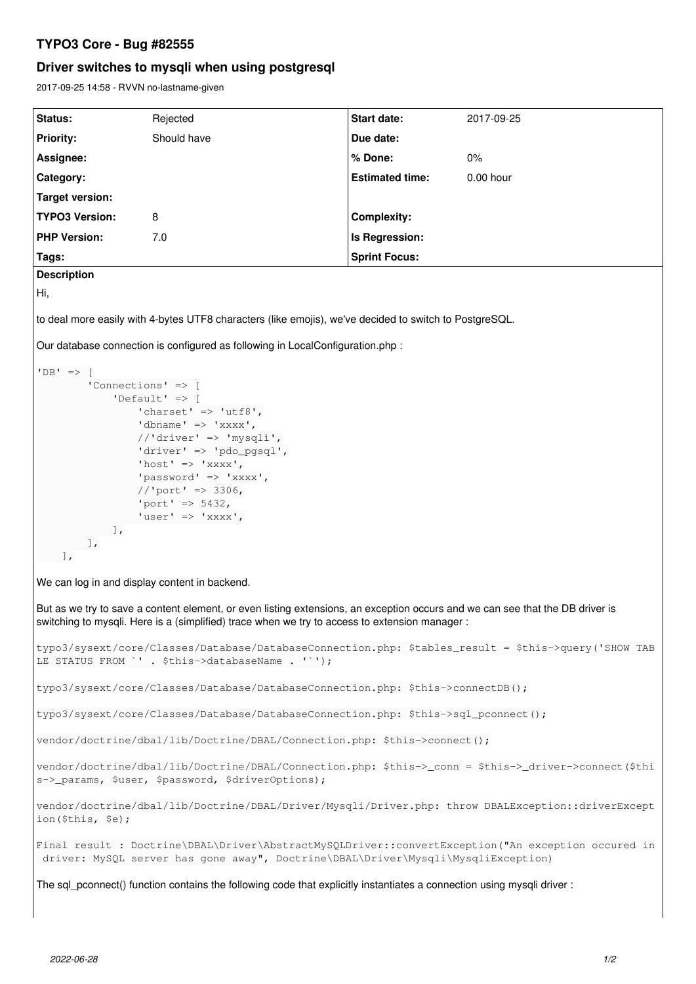# **TYPO3 Core - Bug #82555**

# **Driver switches to mysqli when using postgresql**

2017-09-25 14:58 - RVVN no-lastname-given

| Status:                                                                                                                                                                                                                         | Rejected                                                                                                                                                                                                                                      | Start date:            | 2017-09-25 |
|---------------------------------------------------------------------------------------------------------------------------------------------------------------------------------------------------------------------------------|-----------------------------------------------------------------------------------------------------------------------------------------------------------------------------------------------------------------------------------------------|------------------------|------------|
| <b>Priority:</b>                                                                                                                                                                                                                | Should have                                                                                                                                                                                                                                   | Due date:              |            |
| Assignee:                                                                                                                                                                                                                       |                                                                                                                                                                                                                                               | % Done:                | $0\%$      |
| Category:                                                                                                                                                                                                                       |                                                                                                                                                                                                                                               | <b>Estimated time:</b> | 0.00 hour  |
| <b>Target version:</b>                                                                                                                                                                                                          |                                                                                                                                                                                                                                               |                        |            |
| <b>TYPO3 Version:</b>                                                                                                                                                                                                           | 8                                                                                                                                                                                                                                             | <b>Complexity:</b>     |            |
| <b>PHP Version:</b>                                                                                                                                                                                                             | 7.0                                                                                                                                                                                                                                           | Is Regression:         |            |
| Tags:                                                                                                                                                                                                                           |                                                                                                                                                                                                                                               | <b>Sprint Focus:</b>   |            |
| <b>Description</b>                                                                                                                                                                                                              |                                                                                                                                                                                                                                               |                        |            |
| Hi,                                                                                                                                                                                                                             |                                                                                                                                                                                                                                               |                        |            |
| to deal more easily with 4-bytes UTF8 characters (like emojis), we've decided to switch to PostgreSQL.                                                                                                                          |                                                                                                                                                                                                                                               |                        |            |
| Our database connection is configured as following in LocalConfiguration.php :                                                                                                                                                  |                                                                                                                                                                                                                                               |                        |            |
| 'Connections' $\Rightarrow$ [<br>$\cdot$<br>$\cdot$<br>$\cdot$                                                                                                                                                                  | $'Default'$ => $\lceil$<br>'charset' => 'utf8',<br>'dbname' => 'xxxx',<br>//'driver' => 'mysqli',<br>'driver' => 'pdo_pgsql',<br>'host' => 'xxxx',<br>'password' => 'xxxx',<br>$//'port' => 3306,$<br>'port' => $5432$ ,<br>'user' => 'xxxx', |                        |            |
| We can log in and display content in backend.                                                                                                                                                                                   |                                                                                                                                                                                                                                               |                        |            |
| But as we try to save a content element, or even listing extensions, an exception occurs and we can see that the DB driver is<br>switching to mysqli. Here is a (simplified) trace when we try to access to extension manager : |                                                                                                                                                                                                                                               |                        |            |
| typo3/sysext/core/Classes/Database/DatabaseConnection.php: \$tables_result = \$this->query('SHOW TAB<br>LE STATUS FROM '' . \$this->databaseName . ''');                                                                        |                                                                                                                                                                                                                                               |                        |            |
| typo3/sysext/core/Classes/Database/DatabaseConnection.php: \$this->connectDB();                                                                                                                                                 |                                                                                                                                                                                                                                               |                        |            |
| typo3/sysext/core/Classes/Database/DatabaseConnection.php: \$this->sql_pconnect();                                                                                                                                              |                                                                                                                                                                                                                                               |                        |            |
| vendor/doctrine/dbal/lib/Doctrine/DBAL/Connection.php: \$this->connect();                                                                                                                                                       |                                                                                                                                                                                                                                               |                        |            |
| vendor/doctrine/dbal/lib/Doctrine/DBAL/Connection.php: \$this->_conn = \$this->_driver->connect(\$thi<br>s->_params, \$user, \$password, \$driverOptions);                                                                      |                                                                                                                                                                                                                                               |                        |            |
| vendor/doctrine/dbal/lib/Doctrine/DBAL/Driver/Mysqli/Driver.php: throw DBALException::driverExcept<br>ion (\$this, \$e);                                                                                                        |                                                                                                                                                                                                                                               |                        |            |
| Final result : Doctrine\DBAL\Driver\AbstractMySQLDriver::convertException("An exception occured in<br>driver: MySQL server has gone away", Doctrine\DBAL\Driver\Mysqli\MysqliException)                                         |                                                                                                                                                                                                                                               |                        |            |

The sql\_pconnect() function contains the following code that explicitly instantiates a connection using mysqli driver :